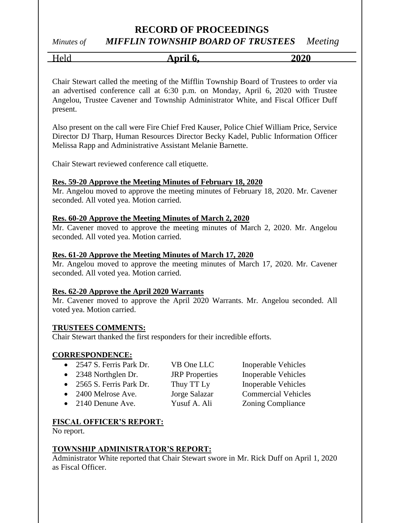## **RECORD OF PROCEEDINGS**

# *Minutes of MIFFLIN TOWNSHIP BOARD OF TRUSTEES Meeting*

Held **April 6, 2020**

Chair Stewart called the meeting of the Mifflin Township Board of Trustees to order via an advertised conference call at 6:30 p.m. on Monday, April 6, 2020 with Trustee Angelou, Trustee Cavener and Township Administrator White, and Fiscal Officer Duff present.

Also present on the call were Fire Chief Fred Kauser, Police Chief William Price, Service Director DJ Tharp, Human Resources Director Becky Kadel, Public Information Officer Melissa Rapp and Administrative Assistant Melanie Barnette.

Chair Stewart reviewed conference call etiquette.

## **Res. 59-20 Approve the Meeting Minutes of February 18, 2020**

Mr. Angelou moved to approve the meeting minutes of February 18, 2020. Mr. Cavener seconded. All voted yea. Motion carried.

## **Res. 60-20 Approve the Meeting Minutes of March 2, 2020**

Mr. Cavener moved to approve the meeting minutes of March 2, 2020. Mr. Angelou seconded. All voted yea. Motion carried.

## **Res. 61-20 Approve the Meeting Minutes of March 17, 2020**

Mr. Angelou moved to approve the meeting minutes of March 17, 2020. Mr. Cavener seconded. All voted yea. Motion carried.

## **Res. 62-20 Approve the April 2020 Warrants**

Mr. Cavener moved to approve the April 2020 Warrants. Mr. Angelou seconded. All voted yea. Motion carried.

#### **TRUSTEES COMMENTS:**

Chair Stewart thanked the first responders for their incredible efforts.

#### **CORRESPONDENCE:**

| • 2547 S. Ferris Park Dr.  | VB One LLC            | Inoperable Vehicles        |
|----------------------------|-----------------------|----------------------------|
| • 2348 Northglen Dr.       | <b>JRP</b> Properties | <b>Inoperable Vehicles</b> |
| • 2565 S. Ferris Park Dr.  | Thuy TT Ly            | <b>Inoperable Vehicles</b> |
| • 2400 Melrose Ave.        | Jorge Salazar         | <b>Commercial Vehicles</b> |
| $\bullet$ 2140 Denune Ave. | Yusuf A. Ali          | <b>Zoning Compliance</b>   |
|                            |                       |                            |

## **FISCAL OFFICER'S REPORT:**

No report.

## **TOWNSHIP ADMINISTRATOR'S REPORT:**

Administrator White reported that Chair Stewart swore in Mr. Rick Duff on April 1, 2020 as Fiscal Officer.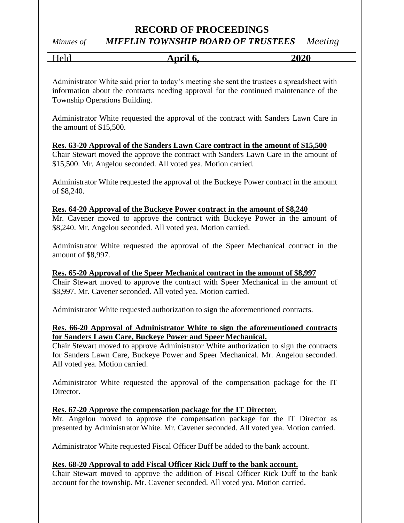# **RECORD OF PROCEEDINGS**

# *Minutes of MIFFLIN TOWNSHIP BOARD OF TRUSTEES Meeting*

Held **April 6, 2020**

Administrator White said prior to today's meeting she sent the trustees a spreadsheet with information about the contracts needing approval for the continued maintenance of the Township Operations Building.

Administrator White requested the approval of the contract with Sanders Lawn Care in the amount of \$15,500.

**Res. 63-20 Approval of the Sanders Lawn Care contract in the amount of \$15,500** Chair Stewart moved the approve the contract with Sanders Lawn Care in the amount of \$15,500. Mr. Angelou seconded. All voted yea. Motion carried.

Administrator White requested the approval of the Buckeye Power contract in the amount of \$8,240.

## **Res. 64-20 Approval of the Buckeye Power contract in the amount of \$8,240**

Mr. Cavener moved to approve the contract with Buckeye Power in the amount of \$8,240. Mr. Angelou seconded. All voted yea. Motion carried.

Administrator White requested the approval of the Speer Mechanical contract in the amount of \$8,997.

#### **Res. 65-20 Approval of the Speer Mechanical contract in the amount of \$8,997**

Chair Stewart moved to approve the contract with Speer Mechanical in the amount of \$8,997. Mr. Cavener seconded. All voted yea. Motion carried.

Administrator White requested authorization to sign the aforementioned contracts.

## **Res. 66-20 Approval of Administrator White to sign the aforementioned contracts for Sanders Lawn Care, Buckeye Power and Speer Mechanical.**

Chair Stewart moved to approve Administrator White authorization to sign the contracts for Sanders Lawn Care, Buckeye Power and Speer Mechanical. Mr. Angelou seconded. All voted yea. Motion carried.

Administrator White requested the approval of the compensation package for the IT Director.

#### **Res. 67-20 Approve the compensation package for the IT Director.**

Mr. Angelou moved to approve the compensation package for the IT Director as presented by Administrator White. Mr. Cavener seconded. All voted yea. Motion carried.

Administrator White requested Fiscal Officer Duff be added to the bank account.

#### **Res. 68-20 Approval to add Fiscal Officer Rick Duff to the bank account.**

Chair Stewart moved to approve the addition of Fiscal Officer Rick Duff to the bank account for the township. Mr. Cavener seconded. All voted yea. Motion carried.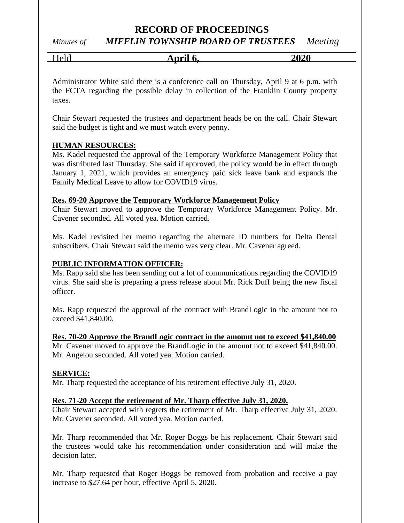# **RECORD OF PROCEEDINGS**

*Minutes of MIFFLIN TOWNSHIP BOARD OF TRUSTEES Meeting*

Held **April 6, 2020**

Administrator White said there is a conference call on Thursday, April 9 at 6 p.m. with the FCTA regarding the possible delay in collection of the Franklin County property taxes.

Chair Stewart requested the trustees and department heads be on the call. Chair Stewart said the budget is tight and we must watch every penny.

## **HUMAN RESOURCES:**

Ms. Kadel requested the approval of the Temporary Workforce Management Policy that was distributed last Thursday. She said if approved, the policy would be in effect through January 1, 2021, which provides an emergency paid sick leave bank and expands the Family Medical Leave to allow for COVID19 virus.

#### **Res. 69-20 Approve the Temporary Workforce Management Policy**

Chair Stewart moved to approve the Temporary Workforce Management Policy. Mr. Cavener seconded. All voted yea. Motion carried.

Ms. Kadel revisited her memo regarding the alternate ID numbers for Delta Dental subscribers. Chair Stewart said the memo was very clear. Mr. Cavener agreed.

#### **PUBLIC INFORMATION OFFICER:**

Ms. Rapp said she has been sending out a lot of communications regarding the COVID19 virus. She said she is preparing a press release about Mr. Rick Duff being the new fiscal officer.

Ms. Rapp requested the approval of the contract with BrandLogic in the amount not to exceed \$41,840.00.

#### **Res. 70-20 Approve the BrandLogic contract in the amount not to exceed \$41,840.00**

Mr. Cavener moved to approve the BrandLogic in the amount not to exceed \$41,840.00. Mr. Angelou seconded. All voted yea. Motion carried.

#### **SERVICE:**

Mr. Tharp requested the acceptance of his retirement effective July 31, 2020.

#### **Res. 71-20 Accept the retirement of Mr. Tharp effective July 31, 2020.**

Chair Stewart accepted with regrets the retirement of Mr. Tharp effective July 31, 2020. Mr. Cavener seconded. All voted yea. Motion carried.

Mr. Tharp recommended that Mr. Roger Boggs be his replacement. Chair Stewart said the trustees would take his recommendation under consideration and will make the decision later.

Mr. Tharp requested that Roger Boggs be removed from probation and receive a pay increase to \$27.64 per hour, effective April 5, 2020.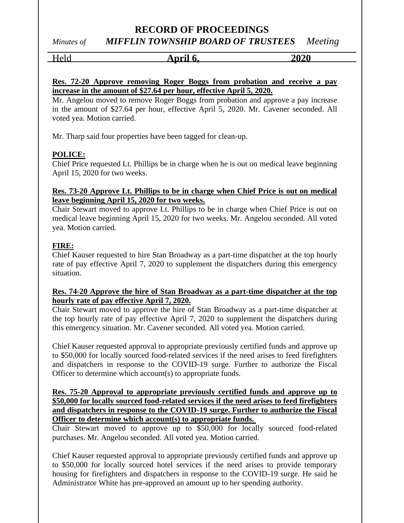## **RECORD OF PROCEEDINGS** *Minutes of MIFFLIN TOWNSHIP BOARD OF TRUSTEES Meeting*

Held **April 6, 2020**

## **Res. 72-20 Approve removing Roger Boggs from probation and receive a pay increase in the amount of \$27.64 per hour, effective April 5, 2020.**

Mr. Angelou moved to remove Roger Boggs from probation and approve a pay increase in the amount of \$27.64 per hour, effective April 5, 2020. Mr. Cavener seconded. All voted yea. Motion carried.

Mr. Tharp said four properties have been tagged for clean-up.

## **POLICE:**

Chief Price requested Lt. Phillips be in charge when he is out on medical leave beginning April 15, 2020 for two weeks.

## **Res. 73-20 Approve Lt. Phillips to be in charge when Chief Price is out on medical leave beginning April 15, 2020 for two weeks.**

Chair Stewart moved to approve Lt. Phillips to be in charge when Chief Price is out on medical leave beginning April 15, 2020 for two weeks. Mr. Angelou seconded. All voted yea. Motion carried.

## **FIRE:**

Chief Kauser requested to hire Stan Broadway as a part-time dispatcher at the top hourly rate of pay effective April 7, 2020 to supplement the dispatchers during this emergency situation.

## **Res. 74-20 Approve the hire of Stan Broadway as a part-time dispatcher at the top hourly rate of pay effective April 7, 2020.**

Chair Stewart moved to approve the hire of Stan Broadway as a part-time dispatcher at the top hourly rate of pay effective April 7, 2020 to supplement the dispatchers during this emergency situation. Mr. Cavener seconded. All voted yea. Motion carried.

Chief Kauser requested approval to appropriate previously certified funds and approve up to \$50,000 for locally sourced food-related services if the need arises to feed firefighters and dispatchers in response to the COVID-19 surge. Further to authorize the Fiscal Officer to determine which account(s) to appropriate funds.

## **Res. 75-20 Approval to appropriate previously certified funds and approve up to \$50,000 for locally sourced food-related services if the need arises to feed firefighters and dispatchers in response to the COVID-19 surge. Further to authorize the Fiscal Officer to determine which account(s) to appropriate funds.**

Chair Stewart moved to approve up to \$50,000 for locally sourced food-related purchases. Mr. Angelou seconded. All voted yea. Motion carried.

Chief Kauser requested approval to appropriate previously certified funds and approve up to \$50,000 for locally sourced hotel services if the need arises to provide temporary housing for firefighters and dispatchers in response to the COVID-19 surge. He said he Administrator White has pre-approved an amount up to her spending authority.